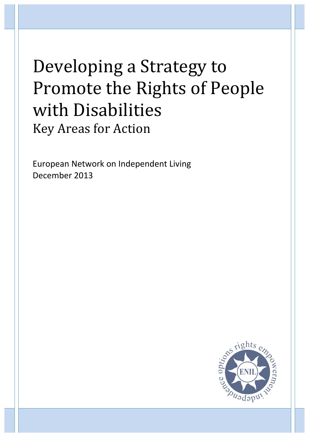# Developing a Strategy to Promote the Rights of People with Disabilities **Key Areas for Action**

European Network on Independent Living December 2013

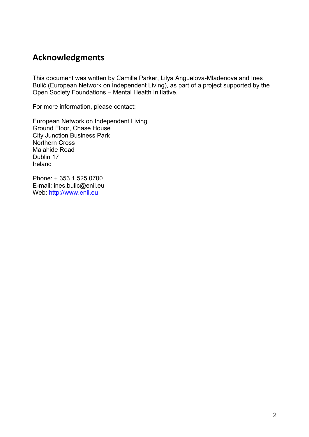# **Acknowledgments**

This document was written by Camilla Parker, Lilya Anguelova-Mladenova and Ines Bulić (European Network on Independent Living), as part of a project supported by the Open Society Foundations – Mental Health Initiative.

For more information, please contact:

European Network on Independent Living Ground Floor, Chase House City Junction Business Park Northern Cross Malahide Road Dublin 17 Ireland

Phone: + 353 1 525 0700 E-mail: ines.bulic@enil.eu Web: http://www.enil.eu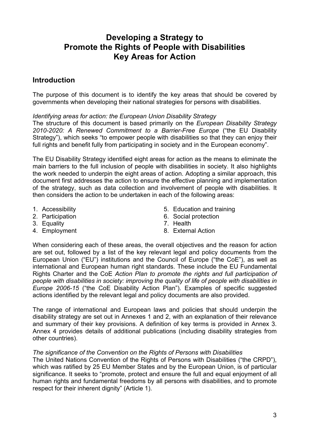# **Developing a Strategy to Promote the Rights of People with Disabilities Key Areas for Action**

# **Introduction**

The purpose of this document is to identify the key areas that should be covered by governments when developing their national strategies for persons with disabilities.

#### *Identifying areas for action: the European Union Disability Strategy*

The structure of this document is based primarily on the *European Disability Strategy 2010-2020: A Renewed Commitment to a Barrier-Free Europe* ("the EU Disability Strategy"), which seeks "to empower people with disabilities so that they can enjoy their full rights and benefit fully from participating in society and in the European economy".

The EU Disability Strategy identified eight areas for action as the means to eliminate the main barriers to the full inclusion of people with disabilities in society. It also highlights the work needed to underpin the eight areas of action. Adopting a similar approach, this document first addresses the action to ensure the effective planning and implementation of the strategy, such as data collection and involvement of people with disabilities. It then considers the action to be undertaken in each of the following areas:

- 1. Accessibility
- 2. Participation
- 3. Equality
- 4. Employment
- 5. Education and training
- 6. Social protection
- 7. Health
- 8. External Action

When considering each of these areas, the overall objectives and the reason for action are set out, followed by a list of the key relevant legal and policy documents from the European Union ("EU") institutions and the Council of Europe ("the CoE"), as well as international and European human right standards. These include the EU Fundamental Rights Charter and the CoE *Action Plan to promote the rights and full participation of people with disabilities in society: improving the quality of life of people with disabilities in Europe 2006-15* ("the CoE Disability Action Plan"). Examples of specific suggested actions identified by the relevant legal and policy documents are also provided.

The range of international and European laws and policies that should underpin the disability strategy are set out in Annexes 1 and 2, with an explanation of their relevance and summary of their key provisions. A definition of key terms is provided in Annex 3. Annex 4 provides details of additional publications (including disability strategies from other countries).

#### *The significance of the Convention on the Rights of Persons with Disabilities*

The United Nations Convention of the Rights of Persons with Disabilities ("the CRPD"), which was ratified by 25 EU Member States and by the European Union, is of particular significance. It seeks to "promote, protect and ensure the full and equal enjoyment of all human rights and fundamental freedoms by all persons with disabilities, and to promote respect for their inherent dignity" (Article 1).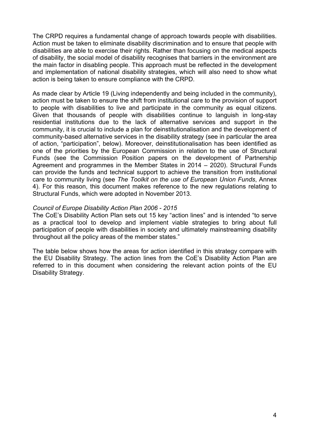The CRPD requires a fundamental change of approach towards people with disabilities. Action must be taken to eliminate disability discrimination and to ensure that people with disabilities are able to exercise their rights. Rather than focusing on the medical aspects of disability, the social model of disability recognises that barriers in the environment are the main factor in disabling people. This approach must be reflected in the development and implementation of national disability strategies, which will also need to show what action is being taken to ensure compliance with the CRPD.

As made clear by Article 19 (Living independently and being included in the community), action must be taken to ensure the shift from institutional care to the provision of support to people with disabilities to live and participate in the community as equal citizens. Given that thousands of people with disabilities continue to languish in long-stay residential institutions due to the lack of alternative services and support in the community, it is crucial to include a plan for deinstitutionalisation and the development of community-based alternative services in the disability strategy (see in particular the area of action, "participation", below). Moreover, deinstitutionalisation has been identified as one of the priorities by the European Commission in relation to the use of Structural Funds (see the Commission Position papers on the development of Partnership Agreement and programmes in the Member States in 2014 – 2020). Structural Funds can provide the funds and technical support to achieve the transition from institutional care to community living (see *The Toolkit on the use of European Union Funds*, Annex 4). For this reason, this document makes reference to the new regulations relating to Structural Funds, which were adopted in November 2013.

#### *Council of Europe Disability Action Plan 2006 - 2015*

The CoE's Disability Action Plan sets out 15 key "action lines" and is intended "to serve as a practical tool to develop and implement viable strategies to bring about full participation of people with disabilities in society and ultimately mainstreaming disability throughout all the policy areas of the member states."

The table below shows how the areas for action identified in this strategy compare with the EU Disability Strategy. The action lines from the CoE's Disability Action Plan are referred to in this document when considering the relevant action points of the EU Disability Strategy.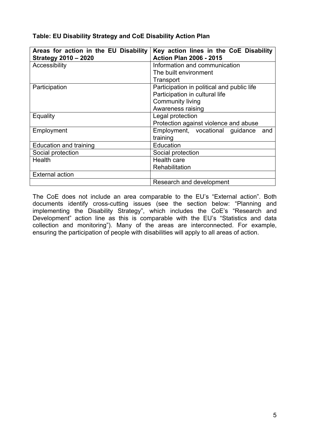| Areas for action in the EU Disability<br><b>Strategy 2010 - 2020</b> | Key action lines in the CoE Disability<br><b>Action Plan 2006 - 2015</b> |
|----------------------------------------------------------------------|--------------------------------------------------------------------------|
| Accessibility                                                        | Information and communication                                            |
|                                                                      | The built environment                                                    |
|                                                                      | Transport                                                                |
| Participation                                                        | Participation in political and public life                               |
|                                                                      | Participation in cultural life                                           |
|                                                                      | <b>Community living</b>                                                  |
|                                                                      | Awareness raising                                                        |
| Equality                                                             | Legal protection                                                         |
|                                                                      | Protection against violence and abuse                                    |
| Employment                                                           | Employment, vocational guidance<br>and                                   |
|                                                                      | training                                                                 |
| <b>Education and training</b>                                        | Education                                                                |
| Social protection                                                    | Social protection                                                        |
| Health                                                               | Health care                                                              |
|                                                                      | Rehabilitation                                                           |
| <b>External action</b>                                               |                                                                          |
|                                                                      | Research and development                                                 |

## **Table: EU Disability Strategy and CoE Disability Action Plan**

The CoE does not include an area comparable to the EU's "External action". Both documents identify cross-cutting issues (see the section below: "Planning and implementing the Disability Strategy", which includes the CoE's "Research and Development" action line as this is comparable with the EU's "Statistics and data collection and monitoring"). Many of the areas are interconnected. For example, ensuring the participation of people with disabilities will apply to all areas of action.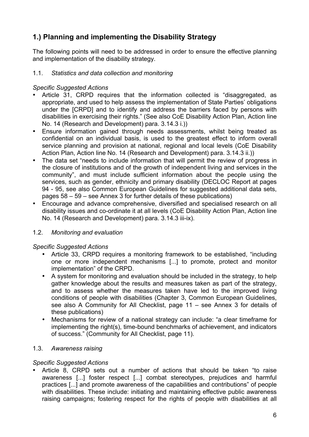# **1.) Planning and implementing the Disability Strategy**

The following points will need to be addressed in order to ensure the effective planning and implementation of the disability strategy.

#### 1.1. *Statistics and data collection and monitoring*

#### *Specific Suggested Actions*

- Article 31, CRPD requires that the information collected is "disaggregated, as appropriate, and used to help assess the implementation of State Parties' obligations under the [CRPD] and to identify and address the barriers faced by persons with disabilities in exercising their rights." (See also CoE Disability Action Plan, Action line No. 14 (Research and Development) para. 3.14.3 i.))
- Ensure information gained through needs assessments, whilst being treated as confidential on an individual basis, is used to the greatest effect to inform overall service planning and provision at national, regional and local levels (CoE Disability Action Plan, Action line No. 14 (Research and Development) para. 3.14.3 ii.))
- The data set "needs to include information that will permit the review of progress in the closure of institutions and of the growth of independent living and services in the community", and must include sufficient information about the people using the services, such as gender, ethnicity and primary disability (DECLOC Report at pages 94 - 95, see also Common European Guidelines for suggested additional data sets, pages 58 – 59 – see Annex 3 for further details of these publications)
- Encourage and advance comprehensive, diversified and specialised research on all disability issues and co-ordinate it at all levels (CoE Disability Action Plan, Action line No. 14 (Research and Development) para. 3.14.3 iii-ix).

# 1.2. *Monitoring and evaluation*

#### *Specific Suggested Actions*

- Article 33, CRPD requires a monitoring framework to be established, "including one or more independent mechanisms [...] to promote, protect and monitor implementation" of the CRPD.
- A system for monitoring and evaluation should be included in the strategy, to help gather knowledge about the results and measures taken as part of the strategy, and to assess whether the measures taken have led to the improved living conditions of people with disabilities (Chapter 3, Common European Guidelines, see also A Community for All Checklist, page 11 – see Annex 3 for details of these publications)
- Mechanisms for review of a national strategy can include: "a clear timeframe for implementing the right(s), time-bound benchmarks of achievement, and indicators of success." (Community for All Checklist, page 11).

#### 1.3. *Awareness raising*

# *Specific Suggested Actions*

• Article 8, CRPD sets out a number of actions that should be taken "to raise awareness [...] foster respect [...] combat stereotypes, prejudices and harmful practices [...] and promote awareness of the capabilities and contributions" of people with disabilities. These include: initiating and maintaining effective public awareness raising campaigns; fostering respect for the rights of people with disabilities at all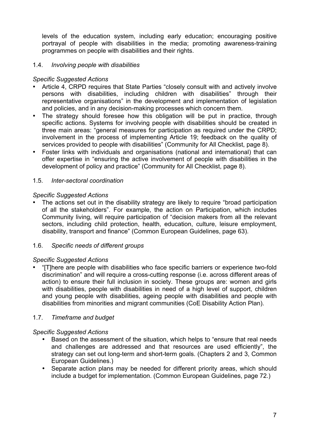levels of the education system, including early education; encouraging positive portrayal of people with disabilities in the media; promoting awareness-training programmes on people with disabilities and their rights.

#### 1.4. *Involving people with disabilities*

#### *Specific Suggested Actions*

- Article 4, CRPD requires that State Parties "closely consult with and actively involve persons with disabilities, including children with disabilities" through their representative organisations" in the development and implementation of legislation and policies, and in any decision-making processes which concern them.
- The strategy should foresee how this obligation will be put in practice, through specific actions. Systems for involving people with disabilities should be created in three main areas: "general measures for participation as required under the CRPD; involvement in the process of implementing Article 19; feedback on the quality of services provided to people with disabilities" (Community for All Checklist, page 8).
- Foster links with individuals and organisations (national and international) that can offer expertise in "ensuring the active involvement of people with disabilities in the development of policy and practice" (Community for All Checklist, page 8).

#### 1.5. *Inter-sectoral coordination*

#### *Specific Suggested Actions*

The actions set out in the disability strategy are likely to require "broad participation of all the stakeholders". For example, the action on Participation, which includes Community living, will require participation of "decision makers from all the relevant sectors, including child protection, health, education, culture, leisure employment, disability, transport and finance" (Common European Guidelines, page 63).

#### 1.6. *Specific needs of different groups*

#### *Specific Suggested Actions*

• "[T]here are people with disabilities who face specific barriers or experience two-fold discrimination" and will require a cross-cutting response (i.e. across different areas of action) to ensure their full inclusion in society. These groups are: women and girls with disabilities, people with disabilities in need of a high level of support, children and young people with disabilities, ageing people with disabilities and people with disabilities from minorities and migrant communities (CoE Disability Action Plan).

#### 1.7. *Timeframe and budget*

- Based on the assessment of the situation, which helps to "ensure that real needs and challenges are addressed and that resources are used efficiently", the strategy can set out long-term and short-term goals. (Chapters 2 and 3, Common European Guidelines.)
- Separate action plans may be needed for different priority areas, which should include a budget for implementation. (Common European Guidelines, page 72.)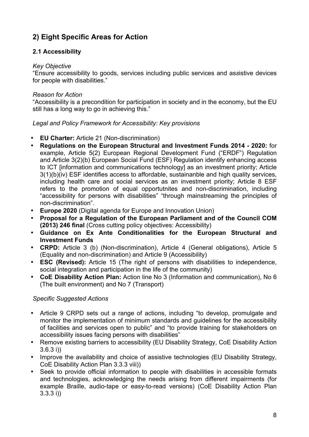# **2) Eight Specific Areas for Action**

# **2.1 Accessibility**

#### *Key Objective*

"Ensure accessibility to goods, services including public services and as*s*istive devices for people with disabilities."

#### *Reason for Action*

"Accessibility is a precondition for participation in society and in the economy, but the EU still has a long way to go in achieving this."

#### *Legal and Policy Framework for Accessibility: Key provisions*

- **EU Charter:** Article 21 (Non-discrimination)
- **Regulations on the European Structural and Investment Funds 2014 - 2020:** for example, Article 5(2) European Regional Development Fund ("ERDF") Regulation and Article 3(2)(b) European Social Fund (ESF) Regulation identify enhancing access to ICT [information and communications technology] as an investment priority; Article 3(1)(b)(iv) ESF identifies access to affordable, sustainanble and high quality services, including health care and social services as an investment priority; Article 8 ESF refers to the promotion of equal opportutnites and non-discrimination, including "accessibility for persons with disabilities" "through mainstreaming the principles of non-discrimination".
- **Europe 2020** (Digital agenda for Europe and Innovation Union)
- **Proposal for a Regulation of the European Parliament and of the Council COM (2013) 246 final** (Cross cutting policy objectives: Accessibility)
- **Guidance on Ex Ante Conditionalities for the European Structural and Investment Funds**
- **CRPD:** Article 3 (b) (Non-discrimination), Article 4 (General obligations), Article 5 (Equality and non-discrimination) and Article 9 (Accessibility)
- **ESC (Revised):** Article 15 (The right of persons with disabilities to independence, social integration and participation in the life of the community)
- **CoE Disability Action Plan:** Action line No 3 (Information and communication), No 6 (The built environment) and No 7 (Transport)

- Article 9 CRPD sets out a range of actions, including "to develop, promulgate and monitor the implementation of minimum standards and guidelines for the accessibility of facilities and services open to public" and "to provide training for stakeholders on accessibility issues facing persons with disabilities"
- Remove existing barriers to accessibility (EU Disability Strategy, CoE Disability Action 3.6.3 i))
- Improve the availability and choice of assistive technologies (EU Disability Strategy, CoE Disability Action Plan 3.3.3 viii))
- Seek to provide official information to people with disabilities in accessible formats and technologies, acknowledging the needs arising from different impairments (for example Braille, audio-tape or easy-to-read versions) (CoE Disability Action Plan 3.3.3 i))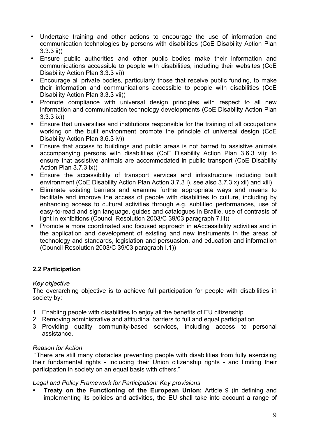- Undertake training and other actions to encourage the use of information and communication technologies by persons with disabilities (CoE Disability Action Plan 3.3.3 ii))
- Ensure public authorities and other public bodies make their information and communications accessible to people with disabilities, including their websites (CoE Disability Action Plan 3.3.3 vi))
- Encourage all private bodies, particularly those that receive public funding, to make their information and communications accessible to people with disabilities (CoE Disability Action Plan 3.3.3 vii))
- Promote compliance with universal design principles with respect to all new information and communication technology developments (CoE Disability Action Plan 3.3.3 ix))
- Ensure that universities and institutions responsible for the training of all occupations working on the built environment promote the principle of universal design (CoE Disability Action Plan 3.6.3 iv))
- Ensure that access to buildings and public areas is not barred to assistive animals accompanying persons with disabilities (CoE Disability Action Plan 3.6.3 vii); to ensure that assistive animals are accommodated in public transport (CoE Disability Action Plan 3.7.3 ix))
- Ensure the accessibility of transport services and infrastructure including built environment (CoE Disability Action Plan Action 3.7.3 i), see also 3.7.3 x) xii) and xiii)
- Eliminate existing barriers and examine further appropriate ways and means to facilitate and improve the access of people with disabilities to culture, including by enhancing access to cultural activities through e.g. subtitled performances, use of easy-to-read and sign language, guides and catalogues in Braille, use of contrasts of light in exhibitions (Council Resolution 2003/C 39/03 paragraph 7.iii))
- Promote a more coordinated and focused approach in eAccessibility activities and in the application and development of existing and new instruments in the areas of technology and standards, legislation and persuasion, and education and information (Council Resolution 2003/C 39/03 paragraph I.1))

# **2.2 Participation**

#### *Key objective*

The overarching objective is to achieve full participation for people with disabilities in society by:

- 1. Enabling people with disabilities to enjoy all the benefits of EU citizenship
- 2. Removing administrative and attitudinal barriers to full and equal participation
- 3. Providing quality community-based services, including access to personal assistance.

#### *Reason for Action*

"There are still many obstacles preventing people with disabilities from fully exercising their fundamental rights - including their Union citizenship rights - and limiting their participation in society on an equal basis with others."

#### *Legal and Policy Framework for Participation: Key provisions*

• **Treaty on the Functioning of the European Union:** Article 9 (in defining and implementing its policies and activities, the EU shall take into account a range of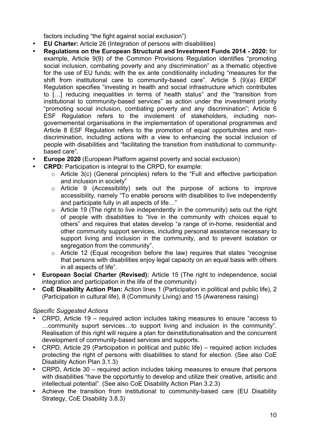factors including "the fight against social exclusion")

- **EU Charter:** Article 26 (Integration of persons with disabilities)
- **Regulations on the European Structural and Investment Funds 2014 - 2020:** for example, Article 9(9) of the Common Provisions Regulation identifies "promoting social inclusion, combating poverty and any discrimination" as a thematic objective for the use of EU funds; with the ex ante conditionality including "measures for the shift from institutional care to community-based care". Article 5 (9)(a) ERDF Regulation specifies "investing in health and social infrastructure which contributes to […] reducing inequalities in terms of health status" and the "transition from institutional to community-based services" as action under the investment priority "promoting social inclusion, combating poverty and any discrimination"; Article 6 ESF Regulation refers to the involement of stakeholders, including nongovernemental organisations in the implementation of operational programmes and Article 8 ESF Regulation refers to the promotion of equal opportutnites and nondiscrimination, including actions with a view to enhancing the social inclusion of people with disabilities and "facilitating the transition from institutional to communitybased care".
- **Europe 2020** (European Platform against poverty and social exclusion)
- **CRPD:** Participation is integral to the CRPD, for example:
	- o Article 3(c) (General principles) refers to the "Full and effective participation and inclusion in society"
	- o Article 9 (Accessibility) sets out the purpose of actions to improve accessibility, namely "To enable persons with disabilities to live independently and participate fully in all aspects of life…"
	- $\circ$  Article 19 (The right to live independently in the community) sets out the right of people with disabilities to "live in the community with choices equal to others" and requires that states develop "a range of in-home, residential and other community support services, including personal assistance necessary to support living and inclusion in the community, and to prevent isolation or segregation from the community".
	- o Article 12 (Equal recognition before the law) requires that states "recognise that persons with disabilities enjoy legal capacity on an equal basis with others in all aspects of life".
- **European Social Charter (Revised):** Article 15 (The right to independence, social integration and participation in the life of the community)
- **CoE Disability Action Plan:** Action lines 1 (Participation in political and public life), 2 (Participation in cultural life), 8 (Community Living) and 15 (Awareness raising)

- CRPD, Article 19 required action includes taking measures to ensure "access to …community suport services…to support living and inclusion in the community". Realisation of this right will require a plan for deinstitutionalisation and the concurrent development of community-based services and supports.
- CRPD, Article 29 (Participation in political and public life) required action includes protecting the right of persons with disabilities to stand for election. (See also CoE Disability Action Plan 3.1.3)
- CRPD, Article 30 required action includes taking measures to ensure that persons with disabilities "have the opportuntiy to develop and utilize their creative, artisitic and intellectual potential". (See also CoE Disability Action Plan 3.2.3)
- Achieve the transition from institutional to community-based care (EU Disability Strategy, CoE Disability 3.8.3)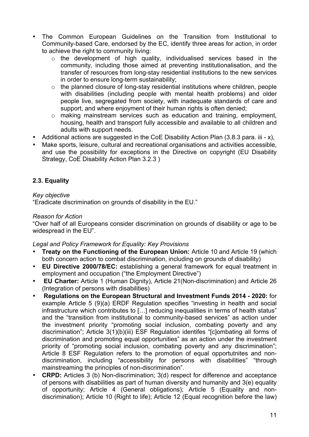- The Common European Guidelines on the Transition from Institutional to Community-based Care, endorsed by the EC, identify three areas for action, in order to achieve the right to community living:
	- o the development of high quality, individualised services based in the community, including those aimed at preventing institutionalisation, and the transfer of resources from long-stay residential institutions to the new services in order to ensure long-term sustainability;
	- $\circ$  the planned closure of long-stay residential institutions where children, people with disabilities (including people with mental health problems) and older people live, segregated from society, with inadequate standards of care and support, and where enjoyment of their human rights is often denied;
	- o making mainstream services such as education and training, employment, housing, health and transport fully accessible and available to all children and adults with support needs.
- Additional actions are suggested in the CoE Disability Action Plan  $(3.8.3 \text{ para. iii} x)$ ,
- Make sports, leisure, cultural and recreational organisations and activities accessible, and use the possibility for exceptions in the Directive on copyright (EU Disability Strategy, CoE Disability Action Plan 3.2.3 )

# **2.3. Equality**

#### *Key objective*

"Eradicate discrimination on grounds of disability in the EU."

## *Reason for Action*

"Over half of all Europeans consider discrimination on grounds of disability or age to be widespread in the EU".

#### *Legal and Policy Framework for Equality: Key Provisions*

- **Treaty on the Functioning of the European Union:** Article 10 and Article 19 (which both concern action to combat discrimination, including on grounds of disability)
- **EU Directive 2000/78/EC:** establishing a general framework for equal treatment in employment and occupation ("the Employment Directive")
- **EU Charter:** Article 1 (Human Dignity), Article 21(Non-discrimination) and Article 26 (Integration of persons with disabilities)
- **Regulations on the European Structural and Investment Funds 2014 - 2020:** for example Article 5 (9)(a) ERDF Regulation specifies "investing in health and social infrastructure which contributes to […] reducing inequalities in terms of health status" and the "transition from institutional to community-based services" as action under the investment priority "promoting social inclusion, combating poverty and any discrimination"; Article 3(1)(b)(iii) ESF Regulation identifes "[c]ombating all forms of discrimination and promoting equal opportunities" as an action under the investment priority of "promoting social inclusion, combating poverty and any discrimination"; Article 8 ESF Regulation refers to the promotion of equal opportutnites and nondiscrimination, including "accessibility for persons with disabilities" "through mainstreaming the principles of non-discrimination".
- **CRPD:** Articles 3 (b) Non-discrimination; 3(d) respect for difference and acceptance of persons with disabilities as part of human diversity and humanity and 3(e) equality of opportunity; Article 4 (General obligations); Article 5 (Equality and nondiscrimination); Article 10 (Right to life); Article 12 (Equal recognition before the law)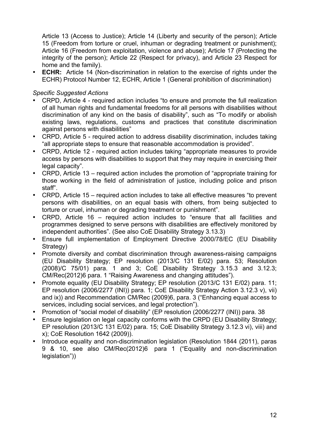Article 13 (Access to Justice); Article 14 (Liberty and security of the person); Article 15 (Freedom from torture or cruel, inhuman or degrading treatment or punishment); Article 16 (Freedom from exploitation, violence and abuse); Article 17 (Protecting the integrity of the person); Article 22 (Respect for privacy), and Article 23 Respect for home and the family).

**ECHR:** Article 14 (Non-discrimination in relation to the exercise of rights under the ECHR) Protocol Number 12, ECHR, Article 1 (General prohibition of discrimination)

- CRPD, Article 4 required action includes "to ensure and promote the full realization of all human rights and fundamental freedoms for all persons with disabilities without discrimination of any kind on the basis of disability", such as "To modify or abolish existing laws, regulations, customs and practices that constitute discrimination against persons with disabilities"
- CRPD, Article 5 required action to address disability discrimination, includes taking "all appropriate steps to ensure that reasonable accommodation is provided".
- CRPD, Article 12 required action includes taking "appropriate measures to provide access by persons with disabilities to support that they may require in exercising their legal capacity".
- CRPD, Article 13 required action includes the promotion of "appropriate training for those working in the field of administration of justice, including police and prison staff".
- CRPD, Article 15 required action includes to take all effective measures "to prevent persons with disabilities, on an equal basis with others, from being subjected to torture or cruel, inhuman or degrading treatment or punishment".
- CRPD, Article 16 required action includes to "ensure that all facilities and programmes designed to serve persons with disabilities are effectively monitored by independent authorities". (See also CoE Disability Strategy 3.13.3)
- Ensure full implementation of Employment Directive 2000/78/EC (EU Disability Strategy)
- Promote diversity and combat discrimination through awareness-raising campaigns (EU Disability Strategy; EP resolution (2013/C 131 E/02) para. 53; Resolution (2008)/C 75/01) para. 1 and 3; CoE Disability Strategy 3.15.3 and 3.12.3; CM/Rec(2012)6 para. 1 "Raising Awareness and changing attitudes").
- Promote equality (EU Disability Strategy; EP resolution (2013/C 131 E/02) para. 11; EP resolution (2006/2277 (INI)) para. 1; CoE Disability Strategy Action 3.12.3 v), vii) and ix)) and Recommendation CM/Rec (2009)6, para. 3 ("Enhancing equal access to services, including social services, and legal protection").
- Promotion of "social model of disability" (EP resolution (2006/2277 (INI)) para. 38
- Ensure legislation on legal capacity conforms with the CRPD (EU Disability Strategy; EP resolution (2013/C 131 E/02) para. 15; CoE Disability Strategy 3.12.3 vi), viii) and x); CoE Resolution 1642 (2009)).
- Introduce equality and non-discrimination legislation (Resolution 1844 (2011), paras 9 & 10, see also CM/Rec(2012)6 para 1 ("Equality and non-discrimination legislation"))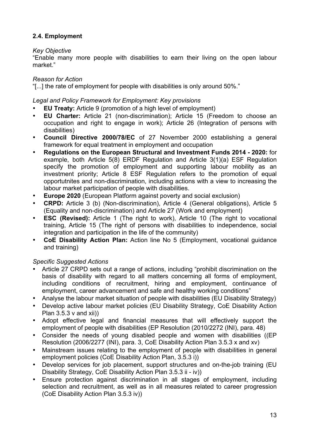# **2.4. Employment**

#### *Key Objective*

"Enable many more people with disabilities to earn their living on the open labour market."

#### *Reason for Action*

"[...] the rate of employment for people with disabilities is only around 50%."

#### *Legal and Policy Framework for Employment: Key provisions*

- **EU Treaty:** Article 9 (promotion of a high level of employment)
- **EU Charter:** Article 21 (non-discrimination); Article 15 (Freedom to choose an occupation and right to engage in work); Article 26 (Integration of persons with disabilities)
- **Council Directive 2000/78/EC** of 27 November 2000 establishing a general framework for equal treatment in employment and occupation
- **Regulations on the European Structural and Investment Funds 2014 - 2020:** for example, both Article 5(8) ERDF Regulation and Article 3(1)(a) ESF Regulation specify the promotion of employment and supporting labour mobility as an investment priority; Article 8 ESF Regulation refers to the promotion of equal opportutnites and non-discrimination, including actions with a view to increasing the labour market participation of people with disabilities.
- **Europe 2020** (European Platform against poverty and social exclusion)
- **CRPD:** Article 3 (b) (Non-discrimination), Article 4 (General obligations), Article 5 (Equality and non-discrimination) and Article 27 (Work and employment)
- **ESC (Revised):** Article 1 (The right to work), Article 10 (The right to vocational training, Article 15 (The right of persons with disabilities to independence, social integration and participation in the life of the community)
- **CoE Disability Action Plan:** Action line No 5 (Employment, vocational guidance and training)

- Article 27 CRPD sets out a range of actions, including "prohibit discrimination on the basis of disability with regard to all matters concerning all forms of employment, including conditions of recruitment, hiring and employment, continuance of employment, career advancement and safe and healthy working conditions"
- Analyse the labour market situation of people with disabilities (EU Disability Strategy)
- Develop active labour market policies (EU Disability Strategy, CoE Disability Action Plan  $3.5.3$  v and xii))
- Adopt effective legal and financial measures that will effectively support the employment of people with disabilities (EP Resolution (2010/2272 (INI), para. 48)
- Consider the needs of young disabled people and women with disabilities ((EP Resolution (2006/2277 (INI), para. 3, CoE Disability Action Plan 3.5.3 x and xv)
- Mainstream issues relating to the employment of people with disabilities in general employment policies (CoE Disability Action Plan, 3.5.3 i))
- Develop services for job placement, support structures and on-the-job training (EU Disability Strategy, CoE Disability Action Plan 3.5.3 ii - iv))
- Ensure protection against discrimination in all stages of employment, including selection and recruitment, as well as in all measures related to career progression (CoE Disability Action Plan 3.5.3 iv))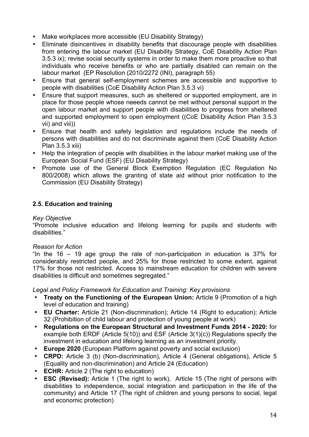- Make workplaces more accessible (EU Disability Strategy)
- Eliminate disincentives in disability benefits that discourage people with disabilities from entering the labour market (EU Disability Strategy, CoE Disability Action Plan 3.5.3 ix); revise social security systems in order to make them more proactive so that individuals who receive benefits or who are partially disabled can remain on the labour market (EP Resolution (2010/2272 (INI), paragraph 55)
- Ensure that general self-employment schemes are accessible and supportive to people with disabilities (CoE Disability Action Plan 3.5.3 vi)
- Ensure that support measures, such as sheltered or supported employment, are in place for those people whose neeeds cannot be met without personal support in the open labour market and support people with disabilities to progress from sheltered and supported employment to open employment ((CoE Disability Action Plan 3.5.3 vii) and viii))
- Ensure that health and safety legislation and regulations include the needs of persons with disabilities and do not discriminate against them (CoE Disability Action Plan 3.5.3 xiii)
- Help the integration of people with disabilities in the labour market making use of the European Social Fund (ESF) (EU Disability Strategy)
- Promote use of the General Block Exemption Regulation (EC Regulation No 800/2008) which allows the granting of state aid without prior notification to the Commission (EU Disability Strategy)

# **2.5. Education and training**

#### *Key Objective*

"Promote inclusive education and lifelong learning for pupils and students with disabilities."

#### *Reason for Action*

"In the 16 – 19 age group the rate of non-participation in education is 37% for considerably restricted people, and 25% for those restricted to some extent, against 17% for those not restricted. Access to mainstream education for children with severe disabilities is difficult and sometimes segregated."

#### *Legal and Policy Framework for Education and Training: Key provisions*

- **Treaty on the Functioning of the European Union:** Article 9 (Promotion of a high level of education and training)
- **EU Charter:** Article 21 (Non-discrimination); Article 14 (Right to education); Article 32 (Prohibition of child labour and protection of young people at work)
- **Regulations on the European Structural and Investment Funds 2014 - 2020:** for example both ERDF (Article 5(10)) and ESF (Article 3(1)(c)) Regulations specify the investment in education and lifelong learning as an investment priority.
- **Europe 2020** (European Platform against poverty and social exclusion)
- **CRPD:** Article 3 (b) (Non-discrimination), Article 4 (General obligations), Article 5 (Equality and non-discrimination) and Article 24 (Education)
- **ECHR:** Article 2 (The right to education)
- **ESC (Revised):** Article 1 (The right to work), Article 15 (The right of persons with disabilities to independence, social integration and participation in the life of the community) and Article 17 (The right of children and young persons to social, legal and economic protection)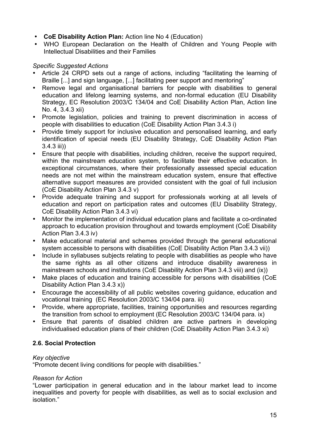- **CoE Disability Action Plan:** Action line No 4 (Education)
- WHO European Declaration on the Health of Children and Young People with Intellectual Disabilities and their Families

## *Specific Suggested Actions*

- Article 24 CRPD sets out a range of actions, including "facilitating the learning of Braille [...] and sign language, [...] facilitating peer support and mentoring"
- Remove legal and organisational barriers for people with disabilities to general education and lifelong learning systems, and non-formal education (EU Disability Strategy, EC Resolution 2003/C 134/04 and CoE Disability Action Plan, Action line No. 4, 3.4.3 xii)
- Promote legislation, policies and training to prevent discrimination in access of people with disabilities to education (CoE Disability Action Plan 3.4.3 i)
- Provide timely support for inclusive education and personalised learning, and early identification of special needs (EU Disability Strategy, CoE Disability Action Plan 3.4.3 iii))
- Ensure that people with disabilities, including children, receive the support required, within the mainstream education system, to facilitate their effective education. In exceptional circumstances, where their professionally assessed special education needs are not met within the mainstream education system, ensure that effective alternative support measures are provided consistent with the goal of full inclusion (CoE Disability Action Plan 3.4.3 v)
- Provide adequate training and support for professionals working at all levels of education and report on participation rates and outcomes (EU Disability Strategy, CoE Disability Action Plan 3.4.3 vi)
- Monitor the implementation of individual education plans and facilitate a co-ordinated approach to education provision throughout and towards employment (CoE Disability Action Plan 3.4.3 iv)
- Make educational material and schemes provided through the general educational system accessible to persons with disabilities (CoE Disability Action Plan 3.4.3 vii))
- Include in syllabuses subjects relating to people with disabilities as people who have the same rights as all other citizens and introduce disability awareness in mainstream schools and institutions (CoE Disability Action Plan 3.4.3 viii) and (ix))
- Make places of education and training accessible for persons with disabilities (CoE Disability Action Plan 3.4.3 x))
- Encourage the accessibility of all public websites covering guidance, education and vocational training (EC Resolution 2003/C 134/04 para. iii)
- Provide, where appropriate, facilities, training opportunities and resources regarding the transition from school to employment (EC Resolution 2003/C 134/04 para. ix)
- Ensure that parents of disabled children are active partners in developing individualised education plans of their children (CoE Disability Action Plan 3.4.3 xi)

# **2.6. Social Protection**

#### *Key objective*

"Promote decent living conditions for people with disabilities."

#### *Reason for Action*

"Lower participation in general education and in the labour market lead to income inequalities and poverty for people with disabilities, as well as to social exclusion and isolation."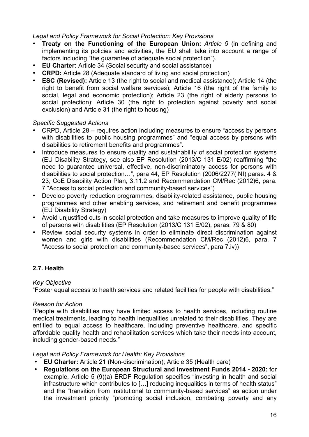#### *Legal and Policy Framework for Social Protection: Key Provisions*

- **Treaty on the Functioning of the European Union:** *Article 9* (in defining and implementing its policies and activities, the EU shall take into account a range of factors including "the guarantee of adequate social protection").
- **EU Charter:** Article 34 (Social security and social assistance)
- **CRPD:** Article 28 (Adequate standard of living and social protection)
- **ESC (Revised):** Article 13 (the right to social and medical assistance); Article 14 (the right to benefit from social welfare services); Article 16 (the right of the family to social, legal and economic protection); Article 23 (the right of elderly persons to social protection); Article 30 (the right to protection against poverty and social exclusion) and Article 31 (the right to housing)

#### *Specific Suggested Actions*

- CRPD, Article 28 requires action including measures to ensure "access by persons with disabilities to public housing programmes" and "equal access by persons with disabilities to retirement benefits and programmes".
- Introduce measures to ensure quality and sustainability of social protection systems (EU Disability Strategy, see also EP Resolution (2013/C 131 E/02) reaffirming "the need to guarantee universal, effective, non-discriminatory access for persons with disabilities to social protection…", para 44, EP Resolution (2006/2277(INI) paras. 4 & 23; CoE Disability Action Plan, 3.11.2 and Recommendation CM/Rec (2012)6, para. 7 "Access to social protection and community-based services")
- Develop poverty reduction programmes, disability-related assistance, public housing programmes and other enabling services, and retirement and benefit programmes (EU Disability Strategy)
- Avoid unjustified cuts in social protection and take measures to improve quality of life of persons with disabilities (EP Resolution (2013/C 131 E/02), paras. 79 & 80)
- Review social security systems in order to eliminate direct discrimination against women and girls with disabilities (Recommendation CM/Rec (2012)6, para. 7 "Access to social protection and community-based services", para 7.iv))

# **2.7. Health**

#### *Key Objective*

"Foster equal access to health services and related facilities for people with disabilities."

#### *Reason for Action*

"People with disabilities may have limited access to health services, including routine medical treatments, leading to health inequalities unrelated to their disabilities. They are entitled to equal access to healthcare, including preventive healthcare, and specific affordable quality health and rehabilitation services which take their needs into account, including gender-based needs."

#### *Legal and Policy Framework for Health: Key Provisions*

- **EU Charter:** Article 21 (Non-discrimination); Article 35 (Health care)
- **Regulations on the European Structural and Investment Funds 2014 - 2020:** for example, Article 5 (9)(a) ERDF Regulation specifies "investing in health and social infrastructure which contributes to […] reducing inequalities in terms of health status" and the "transition from institutional to community-based services" as action under the investment priority "promoting social inclusion, combating poverty and any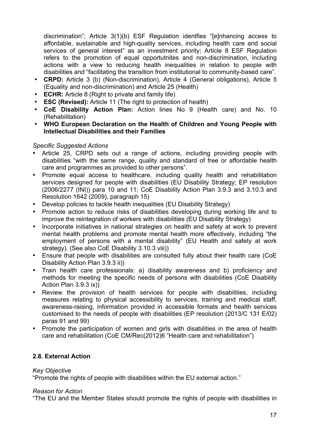discrimination"; Article 3(1)(b) ESF Regulation identfies "[e]nhancing access to affordable, sustainable and high-quality services, including health care and social services of general interest" as an investment priority; Article 8 ESF Regulation refers to the promotion of equal opportutnites and non-discrimination, including actions with a view to reducing health inequalities in relation to people with disabilities and "facilitating the transition from institutional to community-based care".

- **CRPD:** Article 3 (b) (Non-discrimination), Article 4 (General obligations), Article 5 (Equality and non-discrimination) and Article 25 (Health)
- **ECHR:** Article 8 (Right to private and family life)
- **ESC (Revised):** Article 11 (The right to protection of health)
- **CoE Disability Action Plan:** Action lines No 9 (Health care) and No. 10 (Rehabilitation)
- **WHO European Declaration on the Health of Children and Young People with Intellectual Disabilities and their Families**

#### *Specific Suggested Actions*

- Article 25, CRPD sets out a range of actions, including providing people with disabilities "with the same range, quality and standard of free or affordable health care and programmes as provided to other persons".
- Promote equal access to healthcare, including quality health and rehabilitation services designed for people with disabilities (EU Disability Strategy; EP resolution (2006/2277 (INI)) para 10 and 11; CoE Disability Action Plan 3.9.3 and 3.10.3 and Resolution 1642 (2009), paragraph 15)
- Develop policies to tackle health inequalities (EU Disability Strategy)
- Promote action to reduce risks of disabilities developing during working life and to improve the reintegration of workers with disabilities (EU Disability Strategy)
- Incorporate initiatives in national strategies on health and safety at work to prevent mental health problems and promote mental health more effectively, including "the employment of persons with a mental disability" (EU Health and safety at work strategy). (See also CoE Disability 3.10.3 viii))
- Ensure that people with disabilities are consulted fully about their health care (CoE Disability Action Plan 3.9.3 ii))
- Train health care professionals: a) disability awareness and b) proficiency and methods for meeting the specific needs of persons with disabilities (CoE Disability Action Plan 3.9.3 ix))
- Review the provision of health services for people with disabilities, including measures relating to physical accessibility to services, training and medical staff, awareness-raising, information provided in accessible formats and health services customised to the needs of people with disabilities (EP resolution (2013/C 131 E/02) paras 91 and 99)
- Promote the participation of women and girls with disabilities in the area of health care and rehabilitation (CoE CM/Rec(2012)6 "Health care and rehabilitation")

#### **2.8. External Action**

#### *Key Objective*

"Promote the rights of people with disabilities within the EU external action."

#### *Reason for Action*

"The EU and the Member States should promote the rights of people with disabilities in